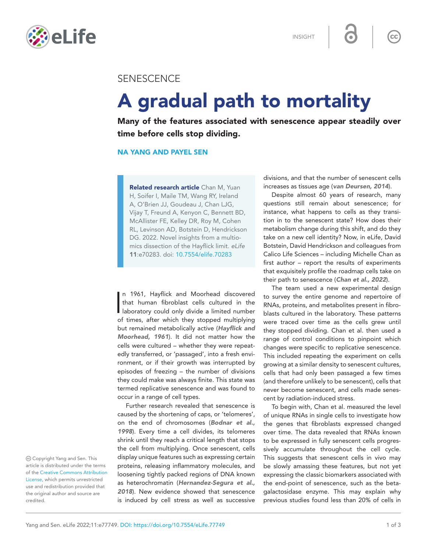INSIGHT



## **SENESCENCE**

# A gradual path to mortality

Many of the features associated with senescence appear steadily over time before cells stop dividing.

### NA YANG AND PAYEL SEN

Related research article Chan M, Yuan [H, Soifer I, Maile TM, Wang RY, Ireland](http://dx.doi.org/10.7554/eLife.70283)  [A, O'Brien JJ, Goudeau J, Chan LJG,](http://dx.doi.org/10.7554/eLife.70283)  [Vijay T, Freund A, Kenyon C, Bennett BD,](http://dx.doi.org/10.7554/eLife.70283)  [McAllister FE, Kelley DR, Roy M, Cohen](http://dx.doi.org/10.7554/eLife.70283)  [RL, Levinson AD, Botstein D, Hendrickson](http://dx.doi.org/10.7554/eLife.70283)  [DG. 2022. Novel insights from a multio](http://dx.doi.org/10.7554/eLife.70283)[mics dissection of the Hayflick limit.](http://dx.doi.org/10.7554/eLife.70283) *eLife*  11:e70283. doi: [10.7554/elife.70283](https://doi.org/10.7554/elife.70283)

In 1961, Hayflick and Moorhead discovered<br>that human fibroblast cells cultured in the<br>laboratory could only divide a limited number n 1961, Hayflick and Moorhead discovered that human fibroblast cells cultured in the of times, after which they stopped multiplying but remained metabolically active (*[Hayflick and](#page-2-0)  [Moorhead, 1961](#page-2-0)*). It did not matter how the cells were cultured – whether they were repeatedly transferred, or 'passaged', into a fresh environment, or if their growth was interrupted by episodes of freezing – the number of divisions they could make was always finite. This state was termed replicative senescence and was found to occur in a range of cell types.

Further research revealed that senescence is caused by the shortening of caps, or 'telomeres', on the end of chromosomes (*[Bodnar et al.,](#page-2-1)  [1998](#page-2-1)*). Every time a cell divides, its telomeres shrink until they reach a critical length that stops the cell from multiplying. Once senescent, cells display unique features such as expressing certain proteins, releasing inflammatory molecules, and loosening tightly packed regions of DNA known as heterochromatin (*[Hernandez-Segura et al.,](#page-2-2)  [2018](#page-2-2)*). New evidence showed that senescence is induced by cell stress as well as successive

divisions, and that the number of senescent cells increases as tissues age (*[van Deursen, 2014](#page-2-3)*).

 $cc$ 

Despite almost 60 years of research, many questions still remain about senescence; for instance, what happens to cells as they transition in to the senescent state? How does their metabolism change during this shift, and do they take on a new cell identity? Now, in eLife, David Botstein, David Hendrickson and colleagues from Calico Life Sciences – including Michelle Chan as first author – report the results of experiments that exquisitely profile the roadmap cells take on their path to senescence (*[Chan et al., 2022](#page-2-4)*).

The team used a new experimental design to survey the entire genome and repertoire of RNAs, proteins, and metabolites present in fibroblasts cultured in the laboratory. These patterns were traced over time as the cells grew until they stopped dividing. Chan et al. then used a range of control conditions to pinpoint which changes were specific to replicative senescence. This included repeating the experiment on cells growing at a similar density to senescent cultures, cells that had only been passaged a few times (and therefore unlikely to be senescent), cells that never become senescent, and cells made senescent by radiation-induced stress.

To begin with, Chan et al. measured the level of unique RNAs in single cells to investigate how the genes that fibroblasts expressed changed over time. The data revealed that RNAs known to be expressed in fully senescent cells progressively accumulate throughout the cell cycle. This suggests that senescent cells in vivo may be slowly amassing these features, but not yet expressing the classic biomarkers associated with the end-point of senescence, such as the betagalactosidase enzyme. This may explain why previous studies found less than 20% of cells in

 Copyright Yang and Sen. This article is distributed under the terms of the [Creative Commons Attribution](http://creativecommons.org/licenses/by/4.0/)  [License](http://creativecommons.org/licenses/by/4.0/), which permits unrestricted use and redistribution provided that the original author and source are credited.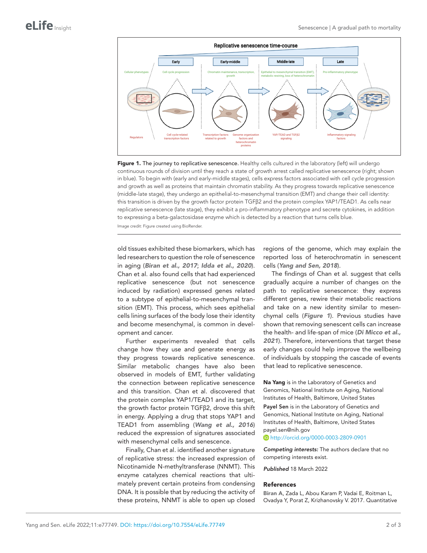

<span id="page-1-1"></span>Figure 1. The journey to replicative senescence. Healthy cells cultured in the laboratory (left) will undergo continuous rounds of division until they reach a state of growth arrest called replicative senescence (right; shown in blue). To begin with (early and early-middle stages), cells express factors associated with cell cycle progression and growth as well as proteins that maintain chromatin stability. As they progress towards replicative senescence (middle-late stage), they undergo an epithelial-to-mesenchymal transition (EMT) and change their cell identity: this transition is driven by the growth factor protein TGFβ2 and the protein complex YAP1/TEAD1. As cells near replicative senescence (late stage), they exhibit a pro-inflammatory phenotype and secrete cytokines, in addition to expressing a beta-galactosidase enzyme which is detected by a reaction that turns cells blue.

Image credit: Figure created using BioRender.

old tissues exhibited these biomarkers, which has led researchers to question the role of senescence in aging (*[Biran et al., 2017](#page-1-0)*; *[Idda et al., 2020](#page-2-5)*). Chan et al. also found cells that had experienced replicative senescence (but not senescence induced by radiation) expressed genes related to a subtype of epithelial-to-mesenchymal transition (EMT). This process, which sees epithelial cells lining surfaces of the body lose their identity and become mesenchymal, is common in development and cancer.

Further experiments revealed that cells change how they use and generate energy as they progress towards replicative senescence. Similar metabolic changes have also been observed in models of EMT, further validating the connection between replicative senescence and this transition. Chan et al. discovered that the protein complex YAP1/TEAD1 and its target, the growth factor protein TGFβ2, drove this shift in energy. Applying a drug that stops YAP1 and TEAD1 from assembling (*[Wang et al., 2016](#page-2-6)*) reduced the expression of signatures associated with mesenchymal cells and senescence.

Finally, Chan et al. identified another signature of replicative stress: the increased expression of Nicotinamide N-methyltransferase (NNMT). This enzyme catalyzes chemical reactions that ultimately prevent certain proteins from condensing DNA. It is possible that by reducing the activity of these proteins, NNMT is able to open up closed

regions of the genome, which may explain the reported loss of heterochromatin in senescent cells (*[Yang and Sen, 2018](#page-2-7)*).

The findings of Chan et al. suggest that cells gradually acquire a number of changes on the path to replicative senescence: they express different genes, rewire their metabolic reactions and take on a new identity similar to mesenchymal cells (*[Figure 1](#page-1-1)*). Previous studies have shown that removing senescent cells can increase the health- and life-span of mice (*[Di Micco et al.,](#page-2-8)  [2021](#page-2-8)*). Therefore, interventions that target these early changes could help improve the wellbeing of individuals by stopping the cascade of events that lead to replicative senescence.

Na Yang is in the Laboratory of Genetics and Genomics, National Institute on Aging, National Institutes of Health, Baltimore, United States

Payel Sen is in the Laboratory of Genetics and Genomics, National Institute on Aging, National Institutes of Health, Baltimore, United States payel.sen@nih.gov

<http://orcid.org/0000-0003-2809-0901>

*Competing interests:* The authors declare that no competing interests exist.

*Published* 18 March 2022

#### References

<span id="page-1-0"></span>Biran A, Zada L, Abou Karam P, Vadai E, Roitman L, Ovadya Y, Porat Z, Krizhanovsky V. 2017. Quantitative